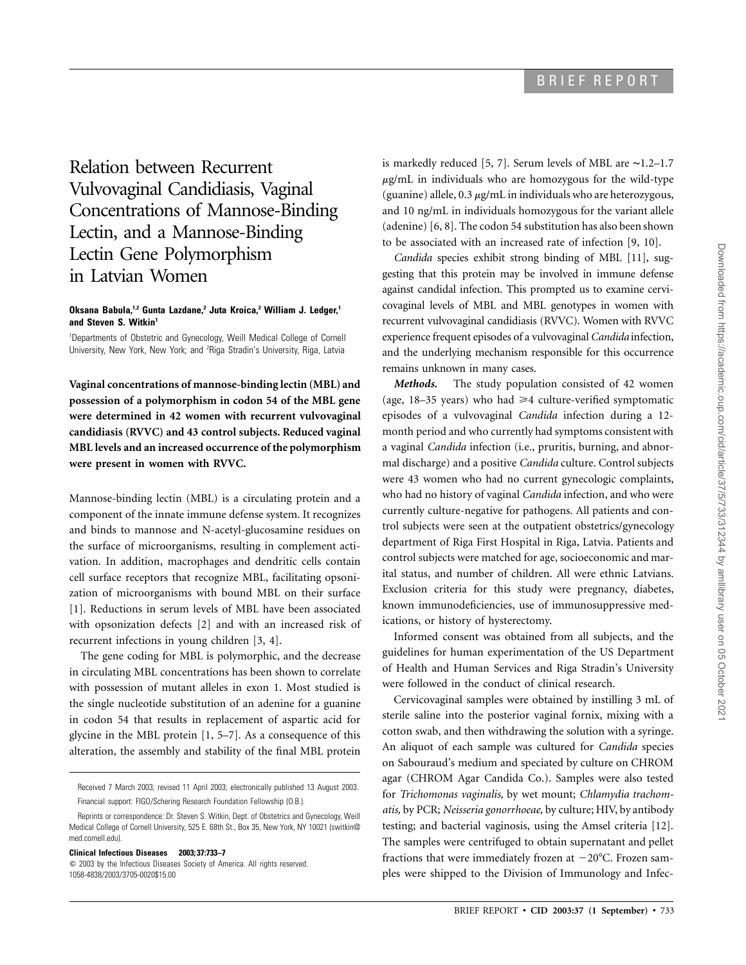Relation between Recurrent Vulvovaginal Candidiasis, Vaginal Concentrations of Mannose-Binding Lectin, and a Mannose-Binding Lectin Gene Polymorphism in Latvian Women

## **Oksana Babula,1,2 Gunta Lazdane,2 Juta Kroica,2 William J. Ledger,1** and Steven S. Witkin<sup>1</sup>

1 Departments of Obstetric and Gynecology, Weill Medical College of Cornell University, New York, New York; and <sup>2</sup>Riga Stradin's University, Riga, Latvia

**Vaginal concentrations of mannose-binding lectin (MBL) and possession of a polymorphism in codon 54 of the MBL gene were determined in 42 women with recurrent vulvovaginal candidiasis (RVVC) and 43 control subjects. Reduced vaginal MBL levels and an increased occurrence of the polymorphism were present in women with RVVC.**

Mannose-binding lectin (MBL) is a circulating protein and a component of the innate immune defense system. It recognizes and binds to mannose and N-acetyl-glucosamine residues on the surface of microorganisms, resulting in complement activation. In addition, macrophages and dendritic cells contain cell surface receptors that recognize MBL, facilitating opsonization of microorganisms with bound MBL on their surface [1]. Reductions in serum levels of MBL have been associated with opsonization defects [2] and with an increased risk of recurrent infections in young children [3, 4].

The gene coding for MBL is polymorphic, and the decrease in circulating MBL concentrations has been shown to correlate with possession of mutant alleles in exon 1. Most studied is the single nucleotide substitution of an adenine for a guanine in codon 54 that results in replacement of aspartic acid for glycine in the MBL protein [1, 5–7]. As a consequence of this alteration, the assembly and stability of the final MBL protein

Received 7 March 2003; revised 11 April 2003; electronically published 13 August 2003. Financial support: FIGO/Schering Research Foundation Fellowship (O.B.).

**Clinical Infectious Diseases 2003; 37:733–7**

 $\odot$  2003 by the Infectious Diseases Society of America. All rights reserved. 1058-4838/2003/3705-0020\$15.00

is markedly reduced [5, 7]. Serum levels of MBL are ∼1.2–1.7  $\mu$ g/mL in individuals who are homozygous for the wild-type (guanine) allele,  $0.3 \mu$ g/mL in individuals who are heterozygous, and 10 ng/mL in individuals homozygous for the variant allele (adenine) [6, 8]. The codon 54 substitution has also been shown to be associated with an increased rate of infection [9, 10].

*Candida* species exhibit strong binding of MBL [11], suggesting that this protein may be involved in immune defense against candidal infection. This prompted us to examine cervicovaginal levels of MBL and MBL genotypes in women with recurrent vulvovaginal candidiasis (RVVC). Women with RVVC experience frequent episodes of a vulvovaginal*Candida* infection, and the underlying mechanism responsible for this occurrence remains unknown in many cases.

*Methods.* The study population consisted of 42 women (age,  $18-35$  years) who had  $\geq 4$  culture-verified symptomatic episodes of a vulvovaginal *Candida* infection during a 12 month period and who currently had symptoms consistent with a vaginal *Candida* infection (i.e., pruritis, burning, and abnormal discharge) and a positive *Candida* culture. Control subjects were 43 women who had no current gynecologic complaints, who had no history of vaginal *Candida* infection, and who were currently culture-negative for pathogens. All patients and control subjects were seen at the outpatient obstetrics/gynecology department of Riga First Hospital in Riga, Latvia. Patients and control subjects were matched for age, socioeconomic and marital status, and number of children. All were ethnic Latvians. Exclusion criteria for this study were pregnancy, diabetes, known immunodeficiencies, use of immunosuppressive medications, or history of hysterectomy.

Informed consent was obtained from all subjects, and the guidelines for human experimentation of the US Department of Health and Human Services and Riga Stradin's University were followed in the conduct of clinical research.

Cervicovaginal samples were obtained by instilling 3 mL of sterile saline into the posterior vaginal fornix, mixing with a cotton swab, and then withdrawing the solution with a syringe. An aliquot of each sample was cultured for *Candida* species on Sabouraud's medium and speciated by culture on CHROM agar (CHROM Agar Candida Co.). Samples were also tested for *Trichomonas vaginalis,* by wet mount; *Chlamydia trachomatis,* by PCR; *Neisseria gonorrhoeae,* by culture; HIV, by antibody testing; and bacterial vaginosis, using the Amsel criteria [12]. The samples were centrifuged to obtain supernatant and pellet fractions that were immediately frozen at  $-20^{\circ}$ C. Frozen samples were shipped to the Division of Immunology and Infec-

Reprints or correspondence: Dr. Steven S. Witkin, Dept. of Obstetrics and Gynecology, Weill Medical College of Cornell University, 525 E. 68th St., Box 35, New York, NY 10021 (switkin@ med.cornell.edu).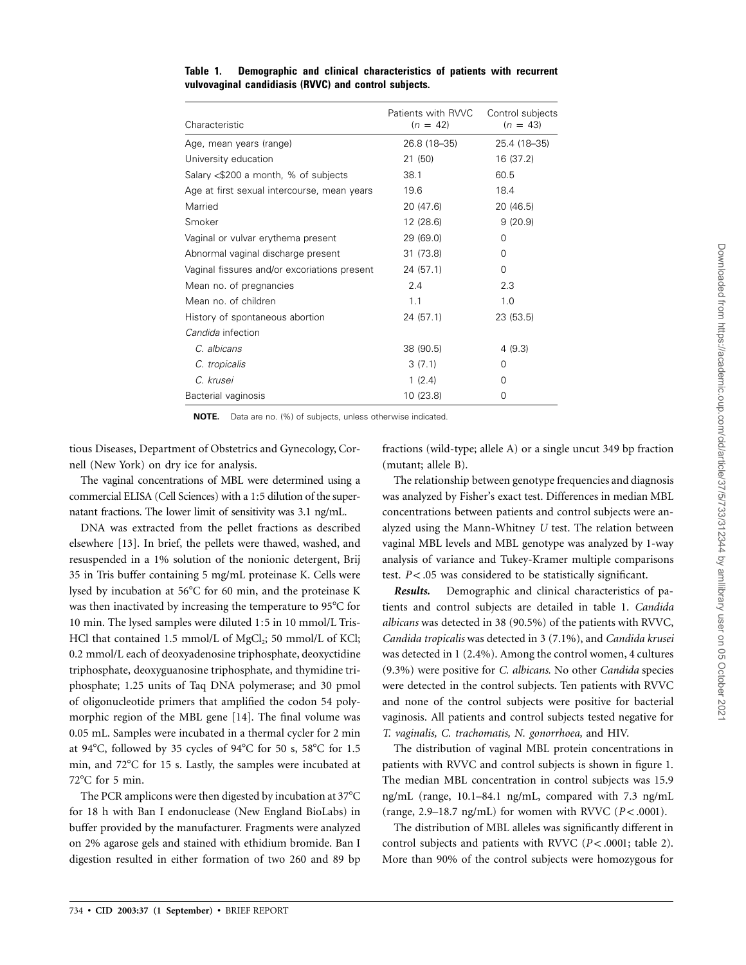|                                              | Patients with RVVC | Control subjects |
|----------------------------------------------|--------------------|------------------|
| Characteristic                               | $(n = 42)$         | $(n = 43)$       |
| Age, mean years (range)                      | 26.8 (18-35)       | 25.4 (18-35)     |
| University education                         | 21 (50)            | 16 (37.2)        |
| Salary <\$200 a month, % of subjects         | 38.1               | 60.5             |
| Age at first sexual intercourse, mean years  | 19.6               | 18.4             |
| Married                                      | 20 (47.6)          | 20 (46.5)        |
| Smoker                                       | 12 (28.6)          | 9(20.9)          |
| Vaginal or vulvar erythema present           | 29 (69.0)          | $\Omega$         |
| Abnormal vaginal discharge present           | 31 (73.8)          | 0                |
| Vaginal fissures and/or excoriations present | 24(57.1)           | 0                |
| Mean no. of pregnancies                      | 2.4                | 2.3              |
| Mean no. of children                         | 1.1                | 1.0              |
| History of spontaneous abortion              | 24 (57.1)          | 23 (53.5)        |
| Candida infection                            |                    |                  |
| C. albicans                                  | 38 (90.5)          | 4(9.3)           |
| C. tropicalis                                | 3(7.1)             | $\Omega$         |
| C. krusei                                    | 1(2.4)             | 0                |
| Bacterial vaginosis                          | 10 (23.8)          | 0                |

**Table 1. Demographic and clinical characteristics of patients with recurrent vulvovaginal candidiasis (RVVC) and control subjects.**

**NOTE.** Data are no. (%) of subjects, unless otherwise indicated.

tious Diseases, Department of Obstetrics and Gynecology, Cornell (New York) on dry ice for analysis.

The vaginal concentrations of MBL were determined using a commercial ELISA (Cell Sciences) with a 1:5 dilution of the supernatant fractions. The lower limit of sensitivity was 3.1 ng/mL.

DNA was extracted from the pellet fractions as described elsewhere [13]. In brief, the pellets were thawed, washed, and resuspended in a 1% solution of the nonionic detergent, Brij 35 in Tris buffer containing 5 mg/mL proteinase K. Cells were lysed by incubation at  $56^{\circ}$ C for 60 min, and the proteinase K was then inactivated by increasing the temperature to 95°C for 10 min. The lysed samples were diluted 1:5 in 10 mmol/L Tris-HCl that contained 1.5 mmol/L of  $MgCl<sub>2</sub>$ ; 50 mmol/L of KCl; 0.2 mmol/L each of deoxyadenosine triphosphate, deoxyctidine triphosphate, deoxyguanosine triphosphate, and thymidine triphosphate; 1.25 units of Taq DNA polymerase; and 30 pmol of oligonucleotide primers that amplified the codon 54 polymorphic region of the MBL gene [14]. The final volume was 0.05 mL. Samples were incubated in a thermal cycler for 2 min at 94°C, followed by 35 cycles of 94°C for 50 s, 58°C for 1.5 min, and 72°C for 15 s. Lastly, the samples were incubated at 72°C for 5 min.

The PCR amplicons were then digested by incubation at 37°C for 18 h with Ban I endonuclease (New England BioLabs) in buffer provided by the manufacturer. Fragments were analyzed on 2% agarose gels and stained with ethidium bromide. Ban I digestion resulted in either formation of two 260 and 89 bp fractions (wild-type; allele A) or a single uncut 349 bp fraction (mutant; allele B).

The relationship between genotype frequencies and diagnosis was analyzed by Fisher's exact test. Differences in median MBL concentrations between patients and control subjects were analyzed using the Mann-Whitney *U* test. The relation between vaginal MBL levels and MBL genotype was analyzed by 1-way analysis of variance and Tukey-Kramer multiple comparisons test.  $P < .05$  was considered to be statistically significant.

*Results.* Demographic and clinical characteristics of patients and control subjects are detailed in table 1. *Candida albicans* was detected in 38 (90.5%) of the patients with RVVC, *Candida tropicalis* was detected in 3 (7.1%), and *Candida krusei* was detected in 1 (2.4%). Among the control women, 4 cultures (9.3%) were positive for *C. albicans.* No other *Candida* species were detected in the control subjects. Ten patients with RVVC and none of the control subjects were positive for bacterial vaginosis. All patients and control subjects tested negative for *T. vaginalis, C. trachomatis, N. gonorrhoea,* and HIV.

The distribution of vaginal MBL protein concentrations in patients with RVVC and control subjects is shown in figure 1. The median MBL concentration in control subjects was 15.9 ng/mL (range, 10.1–84.1 ng/mL, compared with 7.3 ng/mL (range, 2.9–18.7 ng/mL) for women with RVVC ( $P < .0001$ ).

The distribution of MBL alleles was significantly different in control subjects and patients with RVVC  $(P < .0001;$  table 2). More than 90% of the control subjects were homozygous for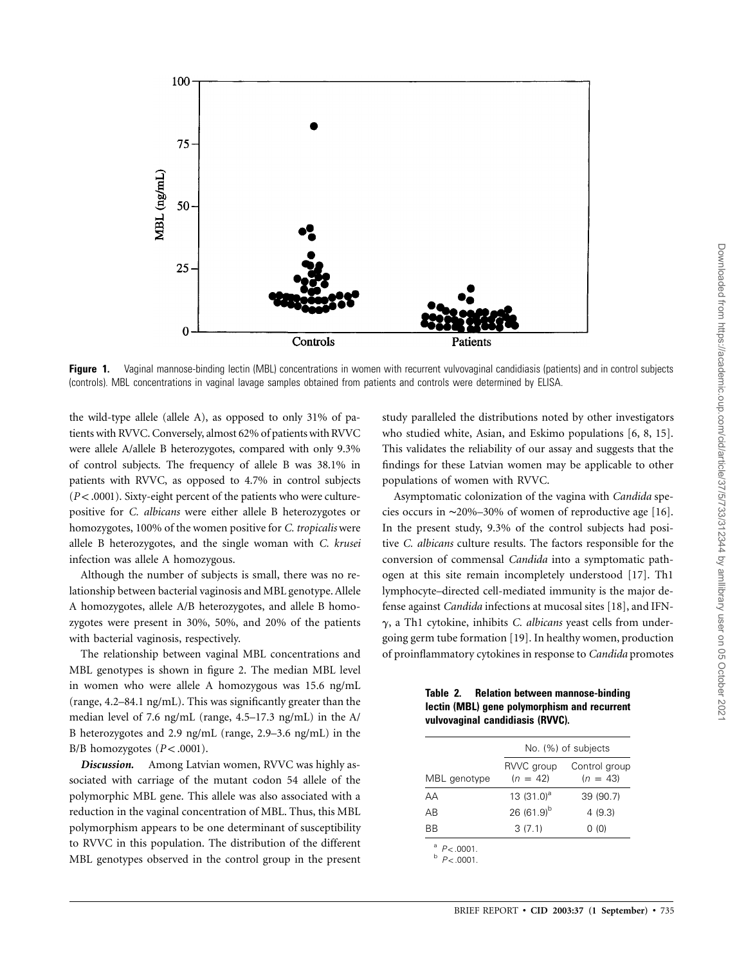

Figure 1. Vaginal mannose-binding lectin (MBL) concentrations in women with recurrent vulvovaginal candidiasis (patients) and in control subjects (controls). MBL concentrations in vaginal lavage samples obtained from patients and controls were determined by ELISA.

the wild-type allele (allele A), as opposed to only 31% of patients with RVVC. Conversely, almost 62% of patients with RVVC were allele A/allele B heterozygotes, compared with only 9.3% of control subjects. The frequency of allele B was 38.1% in patients with RVVC, as opposed to 4.7% in control subjects  $(P< .0001)$ . Sixty-eight percent of the patients who were culturepositive for *C. albicans* were either allele B heterozygotes or homozygotes, 100% of the women positive for *C. tropicalis* were allele B heterozygotes, and the single woman with *C. krusei* infection was allele A homozygous.

Although the number of subjects is small, there was no relationship between bacterial vaginosis and MBL genotype. Allele A homozygotes, allele A/B heterozygotes, and allele B homozygotes were present in 30%, 50%, and 20% of the patients with bacterial vaginosis, respectively.

The relationship between vaginal MBL concentrations and MBL genotypes is shown in figure 2. The median MBL level in women who were allele A homozygous was 15.6 ng/mL (range, 4.2–84.1 ng/mL). This was significantly greater than the median level of 7.6 ng/mL (range, 4.5–17.3 ng/mL) in the A/ B heterozygotes and 2.9 ng/mL (range, 2.9–3.6 ng/mL) in the  $B/B$  homozygotes  $(P < .0001)$ .

*Discussion.* Among Latvian women, RVVC was highly associated with carriage of the mutant codon 54 allele of the polymorphic MBL gene. This allele was also associated with a reduction in the vaginal concentration of MBL. Thus, this MBL polymorphism appears to be one determinant of susceptibility to RVVC in this population. The distribution of the different MBL genotypes observed in the control group in the present

study paralleled the distributions noted by other investigators who studied white, Asian, and Eskimo populations [6, 8, 15]. This validates the reliability of our assay and suggests that the findings for these Latvian women may be applicable to other populations of women with RVVC.

Asymptomatic colonization of the vagina with *Candida* species occurs in ∼20%–30% of women of reproductive age [16]. In the present study, 9.3% of the control subjects had positive *C. albicans* culture results. The factors responsible for the conversion of commensal *Candida* into a symptomatic pathogen at this site remain incompletely understood [17]. Th1 lymphocyte–directed cell-mediated immunity is the major defense against *Candida* infections at mucosal sites [18], and IFNg, a Th1 cytokine, inhibits *C. albicans* yeast cells from undergoing germ tube formation [19]. In healthy women, production of proinflammatory cytokines in response to *Candida* promotes

**Table 2. Relation between mannose-binding lectin (MBL) gene polymorphism and recurrent vulvovaginal candidiasis (RVVC).**

|              | No. (%) of subjects      |                             |
|--------------|--------------------------|-----------------------------|
| MBL genotype | RVVC group<br>$(n = 42)$ | Control group<br>$(n = 43)$ |
| AА           | 13 $(31.0)^a$            | 39 (90.7)                   |
| ΑB           | 26 $(61.9)^{b}$          | 4(9.3)                      |
| ВB           | 3(7.1)                   | 0(0)                        |

 $P < .0001$ .<br>b  $P < .0001$ .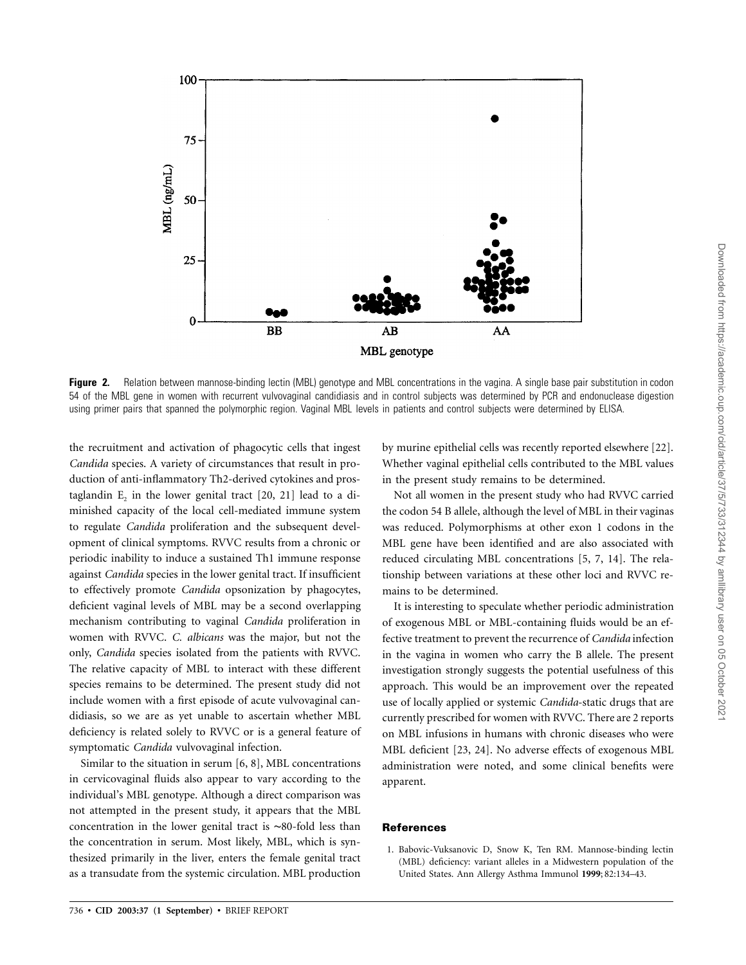

**Figure 2.** Relation between mannose-binding lectin (MBL) genotype and MBL concentrations in the vagina. A single base pair substitution in codon 54 of the MBL gene in women with recurrent vulvovaginal candidiasis and in control subjects was determined by PCR and endonuclease digestion using primer pairs that spanned the polymorphic region. Vaginal MBL levels in patients and control subjects were determined by ELISA.

the recruitment and activation of phagocytic cells that ingest *Candida* species. A variety of circumstances that result in production of anti-inflammatory Th2-derived cytokines and prostaglandin  $E_2$  in the lower genital tract [20, 21] lead to a diminished capacity of the local cell-mediated immune system to regulate *Candida* proliferation and the subsequent development of clinical symptoms. RVVC results from a chronic or periodic inability to induce a sustained Th1 immune response against *Candida* species in the lower genital tract. If insufficient to effectively promote *Candida* opsonization by phagocytes, deficient vaginal levels of MBL may be a second overlapping mechanism contributing to vaginal *Candida* proliferation in women with RVVC. *C. albicans* was the major, but not the only, *Candida* species isolated from the patients with RVVC. The relative capacity of MBL to interact with these different species remains to be determined. The present study did not include women with a first episode of acute vulvovaginal candidiasis, so we are as yet unable to ascertain whether MBL deficiency is related solely to RVVC or is a general feature of symptomatic *Candida* vulvovaginal infection.

Similar to the situation in serum [6, 8], MBL concentrations in cervicovaginal fluids also appear to vary according to the individual's MBL genotype. Although a direct comparison was not attempted in the present study, it appears that the MBL concentration in the lower genital tract is ∼80-fold less than the concentration in serum. Most likely, MBL, which is synthesized primarily in the liver, enters the female genital tract as a transudate from the systemic circulation. MBL production

by murine epithelial cells was recently reported elsewhere [22]. Whether vaginal epithelial cells contributed to the MBL values in the present study remains to be determined.

Not all women in the present study who had RVVC carried the codon 54 B allele, although the level of MBL in their vaginas was reduced. Polymorphisms at other exon 1 codons in the MBL gene have been identified and are also associated with reduced circulating MBL concentrations [5, 7, 14]. The relationship between variations at these other loci and RVVC remains to be determined.

It is interesting to speculate whether periodic administration of exogenous MBL or MBL-containing fluids would be an effective treatment to prevent the recurrence of *Candida* infection in the vagina in women who carry the B allele. The present investigation strongly suggests the potential usefulness of this approach. This would be an improvement over the repeated use of locally applied or systemic *Candida*-static drugs that are currently prescribed for women with RVVC. There are 2 reports on MBL infusions in humans with chronic diseases who were MBL deficient [23, 24]. No adverse effects of exogenous MBL administration were noted, and some clinical benefits were apparent.

## **References**

1. Babovic-Vuksanovic D, Snow K, Ten RM. Mannose-binding lectin (MBL) deficiency: variant alleles in a Midwestern population of the United States. Ann Allergy Asthma Immunol **1999**; 82:134–43.